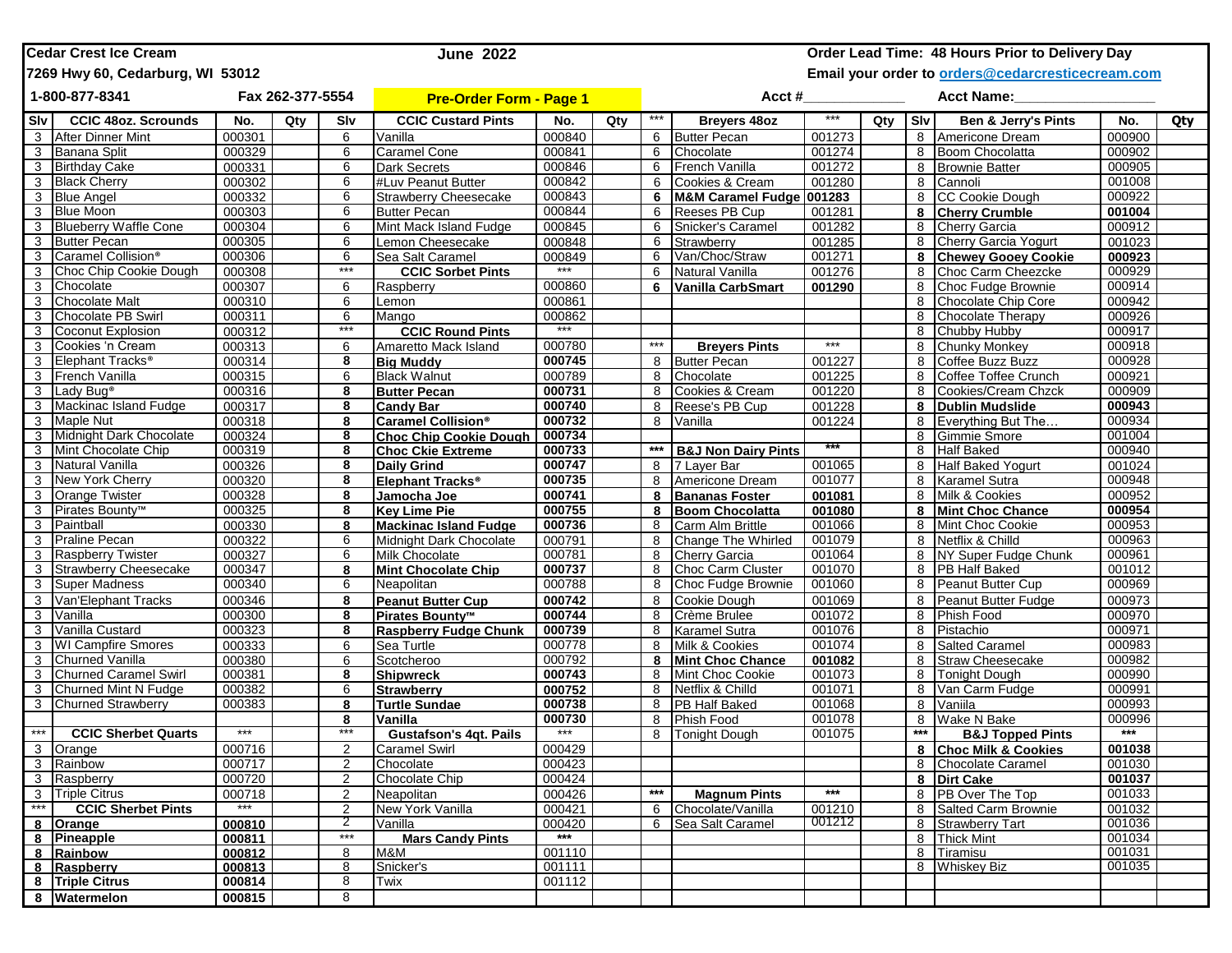| <b>Cedar Crest Ice Cream</b><br><b>June 2022</b> |                                  |                  |     |            |                                |                                                   |     |                   |                                |                   |     |       | Order Lead Time: 48 Hours Prior to Delivery Day |                  |     |
|--------------------------------------------------|----------------------------------|------------------|-----|------------|--------------------------------|---------------------------------------------------|-----|-------------------|--------------------------------|-------------------|-----|-------|-------------------------------------------------|------------------|-----|
|                                                  | 7269 Hwy 60, Cedarburg, WI 53012 |                  |     |            |                                | Email your order to orders@cedarcresticecream.com |     |                   |                                |                   |     |       |                                                 |                  |     |
|                                                  | 1-800-877-8341                   | Fax 262-377-5554 |     |            | <b>Pre-Order Form - Page 1</b> |                                                   |     |                   | Acct #                         |                   |     |       | <b>Acct Name:</b>                               |                  |     |
| <b>Slv</b>                                       | <b>CCIC 48oz. Scrounds</b>       | No.              | Qty | Slv        | <b>CCIC Custard Pints</b>      | No.                                               | Qty | ***               | Breyers 48oz                   | ***               | Qty | Slv   | <b>Ben &amp; Jerry's Pints</b>                  | No.              | Qty |
| 3                                                | <b>After Dinner Mint</b>         | 000301           |     | 6          | Vanilla                        | 000840                                            |     | 6                 | <b>Butter Pecan</b>            | 001273            |     | 8     | Americone Dream                                 | 000900           |     |
| 3                                                | Banana Split                     | 000329           |     | 6          | <b>Caramel Cone</b>            | 000841                                            |     | 6                 | Chocolate                      | 001274            |     | 8     | <b>Boom Chocolatta</b>                          | 000902           |     |
| 3                                                | <b>Birthday Cake</b>             | 000331           |     | 6          | <b>Dark Secrets</b>            | 000846                                            |     | 6                 | French Vanilla                 | 001272            |     | 8     | <b>Brownie Batter</b>                           | 000905           |     |
| 3                                                | <b>Black Cherry</b>              | 000302           |     | 6          | #Luv Peanut Butter             | 000842                                            |     | 6                 | Cookies & Cream                | 001280            |     | 8     | Cannoli                                         | 001008           |     |
| 3                                                | <b>Blue Angel</b>                | 000332           |     | 6          | <b>Strawberry Cheesecake</b>   | 000843                                            |     | 6                 | M&M Caramel Fudge 001283       |                   |     | 8     | <b>CC Cookie Dough</b>                          | 000922           |     |
| 3                                                | <b>Blue Moon</b>                 | 000303           |     | 6          | <b>Butter Pecan</b>            | 000844                                            |     | 6                 | Reeses PB Cup                  | 001281            |     | 8     | <b>Cherry Crumble</b>                           | 001004           |     |
| 3                                                | <b>Blueberry Waffle Cone</b>     | 000304           |     | 6          | Mint Mack Island Fudge         | 000845                                            |     | 6                 | Snicker's Caramel              | 001282            |     | 8     | Cherry Garcia                                   | 000912           |     |
| 3                                                | <b>Butter Pecan</b>              | 000305           |     | 6          | emon Cheesecake                | 000848                                            |     | 6                 | Strawberry                     | 001285            |     | 8     | Cherry Garcia Yogurt                            | 001023           |     |
| 3                                                | Caramel Collision®               | 000306           |     | 6          | Sea Salt Caramel               | 000849                                            |     | 6                 | Van/Choc/Straw                 | 001271            |     | 8     | <b>Chewey Gooey Cookie</b>                      | 000923           |     |
| 3                                                | Choc Chip Cookie Dough           | 000308           |     | $***$      | <b>CCIC Sorbet Pints</b>       |                                                   |     | 6                 | Natural Vanilla                | 001276            |     | 8     | Choc Carm Cheezcke                              | 000929           |     |
| 3                                                | Chocolate                        | 000307           |     | 6          | Raspberry                      | 000860                                            |     | 6                 | Vanilla CarbSmart              | 001290            |     | 8     | Choc Fudge Brownie                              | 000914           |     |
| 3                                                | <b>Chocolate Malt</b>            | 000310           |     | 6          | _emon                          | 000861                                            |     |                   |                                |                   |     | 8     | Chocolate Chip Core                             | 000942           |     |
| 3                                                | Chocolate PB Swirl               | 000311           |     | 6          | Mango                          | 000862                                            |     |                   |                                |                   |     | 8     | <b>Chocolate Therapy</b>                        | 000926           |     |
| 3                                                | Coconut Explosion                | 000312           |     | ***        | <b>CCIC Round Pints</b>        | $***$                                             |     |                   |                                |                   |     | 8     | Chubby Hubby                                    | 000917           |     |
| 3                                                | Cookies 'n Cream                 | 000313           |     | 6          | Amaretto Mack Island           | 000780                                            |     | ***               | <b>Breyers Pints</b>           | $***$             |     | 8     | <b>Chunky Monkey</b>                            | 000918           |     |
| 3                                                | Elephant Tracks <sup>®</sup>     | 000314           |     | 8          | <b>Big Muddy</b>               | 000745                                            |     | 8                 | <b>Butter Pecan</b>            | 001227            |     | 8     | Coffee Buzz Buzz                                | 000928           |     |
|                                                  | 3 French Vanilla                 | 000315           |     | 6          | <b>Black Walnut</b>            | 000789                                            |     | 8                 | Chocolate                      | 001225            |     | 8     | Coffee Toffee Crunch                            | 000921           |     |
| 3                                                | Lady Bug <sup>®</sup>            | 000316           |     | 8          | <b>Butter Pecan</b>            | 000731                                            |     | 8                 | Cookies & Cream                | 001220            |     | 8     | Cookies/Cream Chzck                             | 000909           |     |
| 3                                                | Mackinac Island Fudge            | 000317           |     | 8          | <b>Candy Bar</b>               | 000740                                            |     | 8                 | Reese's PB Cup                 | 001228            |     | 8     | <b>Dublin Mudslide</b>                          | 000943           |     |
| 3                                                | <b>Maple Nut</b>                 | 000318           |     | 8          | Caramel Collision <sup>®</sup> | 000732                                            |     | 8                 | Vanilla                        | 001224            |     | 8     | Everything But The                              | 000934           |     |
| 3                                                | Midnight Dark Chocolate          | 000324           |     | 8          | <b>Choc Chip Cookie Dough</b>  | 000734                                            |     |                   |                                |                   |     | 8     | Gimmie Smore                                    | 001004           |     |
| 3                                                | Mint Chocolate Chip              | 000319           |     | 8          | <b>Choc Ckie Extreme</b>       | 000733                                            |     | $***$             | <b>B&amp;J Non Dairy Pints</b> |                   |     | 8     | <b>Half Baked</b>                               | 000940           |     |
| 3                                                | <b>Natural Vanilla</b>           | 000326           |     | 8          | <b>Daily Grind</b>             | 000747                                            |     | 8                 | 7 Layer Bar                    | 001065            |     | 8     | <b>Half Baked Yogurt</b>                        | 001024           |     |
| 3                                                | New York Cherry                  | 000320           |     | 8          | Elephant Tracks <sup>®</sup>   | 000735                                            |     | 8                 | Americone Dream                | 001077            |     | 8     | Karamel Sutra                                   | 000948           |     |
| 3                                                | <b>Orange Twister</b>            | 000328           |     | 8          | Jamocha Joe                    | 000741                                            |     |                   | <b>Bananas Foster</b>          | 001081            |     | 8     | Milk & Cookies                                  | 000952           |     |
| 3                                                | Pirates Bounty <sup>™</sup>      | 000325           |     | 8          | <b>Key Lime Pie</b>            | 000755                                            |     | 8                 | <b>Boom Chocolatta</b>         | 001080            |     | 8     | <b>Mint Choc Chance</b>                         | 000954           |     |
| 3                                                | Paintball                        | 000330           |     | 8          | <b>Mackinac Island Fudge</b>   | 000736                                            |     | 8                 | Carm Alm Brittle               | 001066            |     | 8     | Mint Choc Cookie                                | 000953           |     |
| 3                                                | <b>Praline Pecan</b>             | 000322           |     | 6          | Midnight Dark Chocolate        | 000791                                            |     | 8                 | Change The Whirled             | 001079            |     | 8     | Netflix & Chilld                                | 000963           |     |
| 3                                                | <b>Raspberry Twister</b>         | 000327           |     | 6          | <b>Milk Chocolate</b>          | 000781                                            |     | 8                 | <b>Cherry Garcia</b>           | 001064            |     | 8     | NY Super Fudge Chunk                            | 000961           |     |
| 3                                                | <b>Strawberry Cheesecake</b>     | 000347           |     | 8          | <b>Mint Chocolate Chip</b>     | 000737                                            |     | 8                 | Choc Carm Cluster              | 001070            |     | 8     | <b>PB</b> Half Baked                            | 001012           |     |
| 3                                                | <b>Super Madness</b>             | 000340           |     | 6          | Neapolitan                     | 000788                                            |     | 8                 | Choc Fudge Brownie             | 001060            |     | 8     | Peanut Butter Cup                               | 000969           |     |
|                                                  | 3 Van'Elephant Tracks            | 000346           |     | 8          | <b>Peanut Butter Cup</b>       | 000742                                            |     | 8                 | Cookie Dough                   | 001069            |     | 8     | Peanut Butter Fudge                             | 000973           |     |
| 3                                                | Vanilla                          | 000300           |     | 8          | Pirates Bounty <sup>™</sup>    | 000744                                            |     | 8                 | Crème Brulee                   | 001072            |     | 8     | Phish Food                                      | 000970           |     |
| 3                                                | Vanilla Custard                  | 000323           |     | 8          | <b>Raspberry Fudge Chunk</b>   | 000739                                            |     | 8                 | <b>Karamel Sutra</b>           | 001076            |     | 8     | Pistachio                                       | 000971           |     |
| 3                                                | <b>WI Campfire Smores</b>        | 000333           |     | 6          | Sea Turtle                     | 000778                                            |     | 8                 | Milk & Cookies                 | 001074            |     | 8     | <b>Salted Caramel</b>                           | 000983           |     |
| 3 <sup>1</sup>                                   | Churned Vanilla                  | 000380           |     | 6          | Scotcheroo                     | 000792                                            |     | 8                 | <b>Mint Choc Chance</b>        | 001082            |     | 8     | <b>Straw Cheesecake</b>                         | 000982           |     |
| 3                                                | <b>Churned Caramel Swirl</b>     | 000381           |     | 8          | <b>Shipwreck</b>               | 000743                                            |     | 8                 | Mint Choc Cookie               | 001073            |     | 8     | Tonight Dough                                   | 000990           |     |
| 3                                                | <b>Churned Mint N Fudge</b>      | 000382           |     | 6          | <b>Strawberry</b>              | 000752                                            |     | 8                 | Netflix & Chilld               | 001071            |     | 8     | Van Carm Fudge                                  | 000991           |     |
| 3                                                | <b>Churned Strawberry</b>        | 000383           |     | 8          | Turtle Sundae                  | 000738                                            |     | 8                 | <b>PB Half Baked</b>           | 001068            |     | 8     | Vaniila                                         | 000993           |     |
|                                                  |                                  |                  |     | 8<br>***   | Vanilla                        | 000730                                            |     | 8                 | <b>Phish Food</b>              | 001078            |     | 8     | Wake N Bake                                     | 000996           |     |
| $***$                                            | <b>CCIC Sherbet Quarts</b>       | ***              |     |            | <b>Gustafson's 4qt. Pails</b>  | $***$                                             |     | 8                 | <b>Tonight Dough</b>           | 001075            |     | $***$ | <b>B&amp;J Topped Pints</b>                     | ***              |     |
|                                                  | 3 Orange                         | 000716           |     | 2          | Caramel Swirl                  | 000429                                            |     |                   |                                |                   |     |       | 8 Choc Milk & Cookies                           | 001038           |     |
|                                                  | 3 Rainbow                        | 000717           |     | 2          | Chocolate                      | 000423                                            |     |                   |                                |                   |     |       | 8 Chocolate Caramel                             | 001030           |     |
|                                                  | 3 Raspberry                      | 000720           |     | 2          | Chocolate Chip                 | 000424                                            |     |                   |                                |                   |     |       | 8 Dirt Cake                                     | 001037           |     |
| $***$                                            | 3 Triple Citrus                  | 000718<br>***    |     | 2          | Neapolitan                     | 000426                                            |     | $\star\star\star$ | <b>Magnum Pints</b>            | $\star\star\star$ |     |       | 8 PB Over The Top                               | 001033           |     |
|                                                  | <b>CCIC Sherbet Pints</b>        |                  |     | 2          | New York Vanilla               | 000421                                            |     | 6                 | Chocolate/Vanilla              | 001210            |     | 8     | <b>Salted Carm Brownie</b>                      | 001032           |     |
|                                                  | 8 Orange                         | 000810           |     | 2<br>$***$ | Vanilla                        | 000420<br>$***$                                   |     |                   | 6 Sea Salt Caramel             | 001212            |     | 8     | <b>Strawberry Tart</b>                          | 001036           |     |
|                                                  | 8 Pineapple                      | 000811           |     |            | <b>Mars Candy Pints</b>        |                                                   |     |                   |                                |                   |     |       | 8 Thick Mint                                    | 001034<br>001031 |     |
|                                                  | 8 Rainbow                        | 000812           |     | 8<br>8     | M&M                            | 001110                                            |     |                   |                                |                   |     |       | 8 Tiramisu                                      | 001035           |     |
|                                                  | 8 Raspberry                      | 000813           |     | 8          | Snicker's<br>Twix              | 001111<br>001112                                  |     |                   |                                |                   |     |       | 8 Whiskey Biz                                   |                  |     |
|                                                  | 8 Triple Citrus                  | 000814           |     |            |                                |                                                   |     |                   |                                |                   |     |       |                                                 |                  |     |
|                                                  | 8 Watermelon                     | 000815           |     | 8          |                                |                                                   |     |                   |                                |                   |     |       |                                                 |                  |     |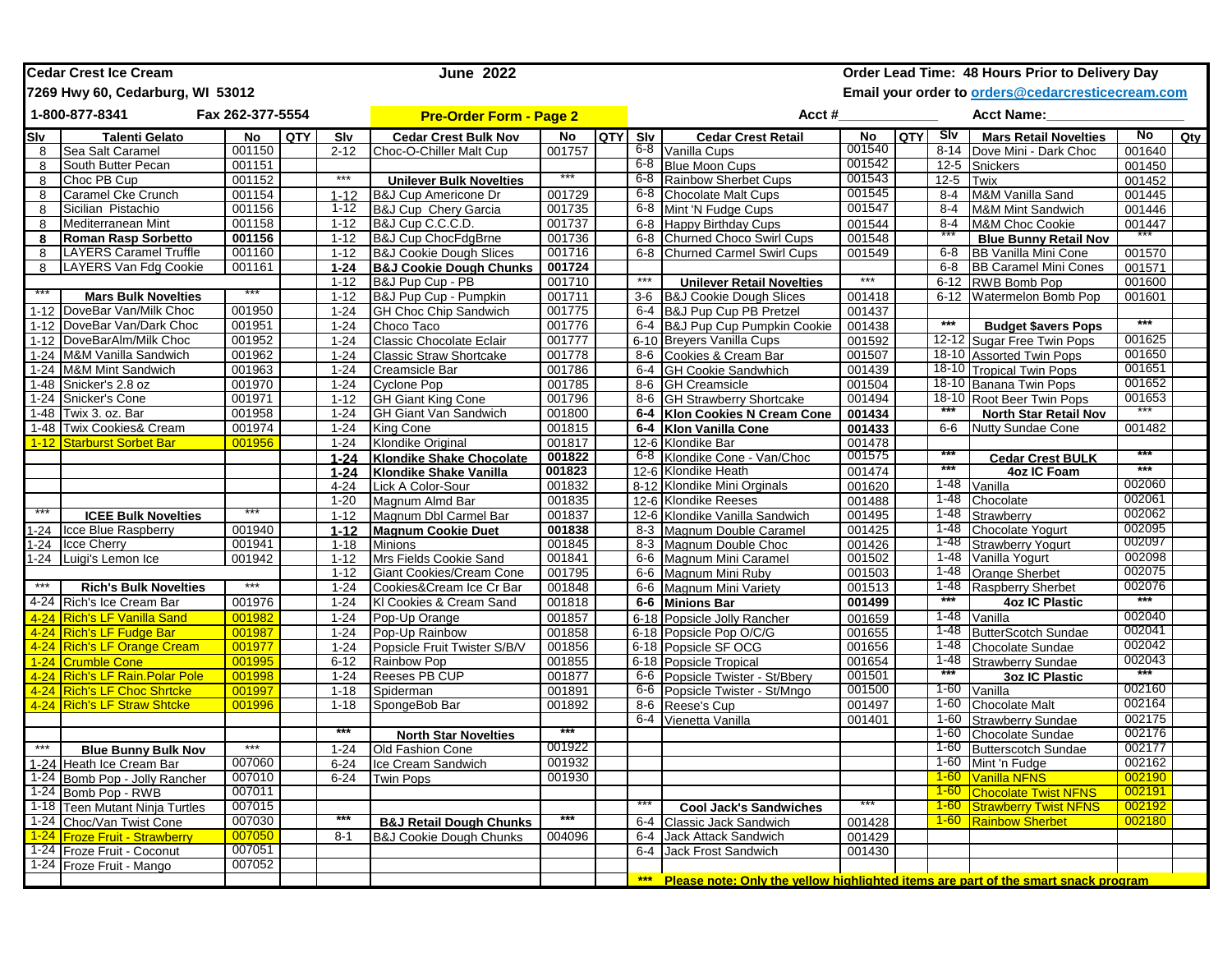|                                    | <b>Cedar Crest Ice Cream</b>                   |                  |     | <b>June 2022</b>     |                                           | Order Lead Time: 48 Hours Prior to Delivery Day |            |         |                                                                                    |                  |                   |                                                   |                                                          |        |     |
|------------------------------------|------------------------------------------------|------------------|-----|----------------------|-------------------------------------------|-------------------------------------------------|------------|---------|------------------------------------------------------------------------------------|------------------|-------------------|---------------------------------------------------|----------------------------------------------------------|--------|-----|
|                                    | 7269 Hwy 60, Cedarburg, WI 53012               |                  |     |                      |                                           |                                                 |            |         |                                                                                    |                  |                   | Email your order to orders@cedarcresticecream.com |                                                          |        |     |
| 1-800-877-8341<br>Fax 262-377-5554 |                                                |                  |     |                      | <b>Pre-Order Form - Page 2</b>            |                                                 |            |         | Acct #                                                                             |                  | <b>Acct Name:</b> |                                                   |                                                          |        |     |
| Slv                                | <b>Talenti Gelato</b>                          | No               | QTY | Slv                  | <b>Cedar Crest Bulk Nov</b>               | No                                              | <b>QTY</b> | Slv     | <b>Cedar Crest Retail</b>                                                          | $\overline{N}$   | <b>QTY</b>        | <b>S</b> lv                                       | <b>Mars Retail Novelties</b>                             | No     | Qty |
| 8                                  | Sea Salt Caramel                               | 001150           |     | $2 - 12$             | Choc-O-Chiller Malt Cup                   | 001757                                          |            |         | 6-8 Vanilla Cups                                                                   | 001540           |                   | $8 - 14$                                          | Dove Mini - Dark Choc                                    | 001640 |     |
| 8                                  | South Butter Pecan                             | 001151           |     |                      |                                           |                                                 |            | 6-8     | <b>Blue Moon Cups</b>                                                              | 001542           |                   | $12 - 5$                                          | <b>Snickers</b>                                          | 001450 |     |
| 8                                  | Choc PB Cup                                    | 001152           |     | $***$                | <b>Unilever Bulk Novelties</b>            |                                                 |            | 6-8     | Rainbow Sherbet Cups                                                               | 001543           |                   | $12 - 5$                                          | <b>Twix</b>                                              | 001452 |     |
| 8                                  | Caramel Cke Crunch                             | 001154           |     | $1 - 12$             | <b>B&amp;J Cup Americone Dr</b>           | 001729                                          |            | 6-8     | Chocolate Malt Cups                                                                | 001545           |                   | $8 - 4$                                           | M&M Vanilla Sand                                         | 001445 |     |
| 8                                  | Sicilian Pistachio                             | 001156           |     | $1 - 12$             | <b>B&amp;J Cup Chery Garcia</b>           | 001735                                          |            | $6 - 8$ | Mint 'N Fudge Cups                                                                 | 001547           |                   | $8 - 4$                                           | M&M Mint Sandwich                                        | 001446 |     |
| 8                                  | Mediterranean Mint                             | 001158           |     | $1 - 12$             | B&J Cup C.C.C.D.                          | 001737                                          |            | $6-8$   | <b>Happy Birthday Cups</b>                                                         | 001544           |                   | $8 - 4$                                           | M&M Choc Cookie                                          | 001447 |     |
| 8                                  | <b>Roman Rasp Sorbetto</b>                     | 001156           |     | $1 - 12$             | <b>B&amp;J Cup ChocFdgBrne</b>            | 001736                                          |            | $6 - 8$ | <b>Churned Choco Swirl Cups</b>                                                    | 001548           |                   |                                                   | <b>Blue Bunny Retail Nov</b>                             |        |     |
| 8                                  | <b>LAYERS Caramel Truffle</b>                  | 001160           |     | $1 - 12$             | <b>B&amp;J Cookie Dough Slices</b>        | 001716                                          |            |         | 6-8 Churned Carmel Swirl Cups                                                      | 001549           |                   | $6-8$                                             | <b>BB Vanilla Mini Cone</b>                              | 001570 |     |
| 8                                  | LAYERS Van Fdg Cookie                          | 001161           |     | $1 - 24$<br>$1 - 12$ | <b>B&amp;J Cookie Dough Chunks</b>        | 001724                                          |            | $***$   |                                                                                    | $***$            |                   | $6-8$                                             | <b>BB Caramel Mini Cones</b>                             | 001571 |     |
|                                    |                                                |                  |     | $1 - 12$             | B&J Pup Cup - PB<br>B&J Pup Cup - Pumpkin | 001710                                          |            | $3-6$   | <b>Unilever Retail Novelties</b>                                                   |                  |                   | $6 - 12$                                          | RWB Bomb Pop                                             | 001600 |     |
| $1 - 12$                           | <b>Mars Bulk Novelties</b>                     | 001950           |     | $1 - 24$             | <b>GH Choc Chip Sandwich</b>              | 001711                                          |            |         | <b>B&amp;J Cookie Dough Slices</b>                                                 | 001418<br>001437 |                   | $6 - 12$                                          | Watermelon Bomb Pop                                      | 001601 |     |
| $1 - 12$                           | DoveBar Van/Milk Choc<br>DoveBar Van/Dark Choc | 001951           |     | $1 - 24$             | Choco Taco                                | 001775<br>001776                                |            |         | 6-4 B&J Pup Cup PB Pretzel<br>6-4 B&J Pup Cup Pumpkin Cookie                       | 001438           |                   | ***                                               |                                                          | ***    |     |
|                                    | DoveBarAlm/Milk Choc                           | 001952           |     | $1 - 24$             | Classic Chocolate Eclair                  | 001777                                          |            |         | 6-10 Breyers Vanilla Cups                                                          | 001592           |                   |                                                   | <b>Budget \$avers Pops</b><br>12-12 Sugar Free Twin Pops | 001625 |     |
| 1-12<br>$1 - 24$                   | M&M Vanilla Sandwich                           | 001962           |     | $1 - 24$             | <b>Classic Straw Shortcake</b>            | 001778                                          |            | 8-6     | Cookies & Cream Bar                                                                | 001507           |                   |                                                   | 18-10 Assorted Twin Pops                                 | 001650 |     |
|                                    | 1-24 M&M Mint Sandwich                         | 001963           |     | $1 - 24$             | <b>Creamsicle Bar</b>                     | 001786                                          |            | $6-4$   | <b>GH Cookie Sandwhich</b>                                                         | 001439           |                   |                                                   | 18-10 Tropical Twin Pops                                 | 001651 |     |
| 1-48                               | Snicker's 2.8 oz                               | 001970           |     | $1 - 24$             | <b>Cyclone Pop</b>                        | 001785                                          |            | 8-6     | <b>GH Creamsicle</b>                                                               | 001504           |                   | $18 - 10$                                         | Banana Twin Pops                                         | 001652 |     |
| 1-24                               | <b>Snicker's Cone</b>                          | 001971           |     | $1 - 12$             | <b>GH Giant King Cone</b>                 | 001796                                          |            |         | 8-6 GH Strawberry Shortcake                                                        | 001494           |                   | 18-10                                             | Root Beer Twin Pops                                      | 001653 |     |
| 1-48                               | Twix 3. oz. Bar                                | 001958           |     | $1 - 24$             | <b>GH Giant Van Sandwich</b>              | 001800                                          |            |         | 6-4 Klon Cookies N Cream Cone                                                      | 001434           |                   |                                                   | <b>North Star Retail Nov</b>                             |        |     |
| $1 - 48$                           | <b>Twix Cookies&amp; Cream</b>                 | 001974           |     | $1 - 24$             | King Cone                                 | 001815                                          |            |         | 6-4 Klon Vanilla Cone                                                              | 001433           |                   | $6-6$                                             | <b>Nutty Sundae Cone</b>                                 | 001482 |     |
| $1 - 12$                           | <b>Starburst Sorbet Bar</b>                    | 001956           |     | $1 - 24$             | <b>Klondike Original</b>                  | 001817                                          |            |         | 12-6 Klondike Bar                                                                  | 001478           |                   |                                                   |                                                          |        |     |
|                                    |                                                |                  |     | $1 - 24$             | Klondike Shake Chocolate                  | 001822                                          |            |         | 6-8 Klondike Cone - Van/Choc                                                       | 001575           |                   | ***                                               | <b>Cedar Crest BULK</b>                                  |        |     |
|                                    |                                                |                  |     | $1 - 24$             | <b>Klondike Shake Vanilla</b>             | 001823                                          |            |         | 12-6 Klondike Heath                                                                | 001474           |                   | ***                                               | 4oz IC Foam                                              | $***$  |     |
|                                    |                                                |                  |     | $4 - 24$             | Lick A Color-Sour                         | 001832                                          |            |         | 8-12 Klondike Mini Orginals                                                        | 001620           |                   | 1-48                                              | Vanilla                                                  | 002060 |     |
|                                    |                                                |                  |     | $1 - 20$             | Magnum Almd Bar                           | 001835                                          |            |         | 12-6 Klondike Reeses                                                               | 001488           |                   | $1 - 48$                                          | Chocolate                                                | 002061 |     |
| ***                                | <b>ICEE Bulk Novelties</b>                     |                  |     | $1 - 12$             | Magnum Dbl Carmel Bar                     | 001837                                          |            |         | 12-6 Klondike Vanilla Sandwich                                                     | 001495           |                   | $1 - 48$                                          | Strawberry                                               | 002062 |     |
| 1-24                               | Icce Blue Raspberry                            | 001940           |     | $1 - 12$             | <b>Magnum Cookie Duet</b>                 | 001838                                          |            |         | 8-3 Magnum Double Caramel                                                          | 001425           |                   | 1-48                                              | Chocolate Yogurt                                         | 002095 |     |
| $1 - 24$                           | <b>Icce Cherry</b>                             | 001941           |     | $1 - 18$             | <b>Minions</b>                            | 001845                                          |            |         | 8-3 Magnum Double Choc                                                             | 001426           |                   | 1-48                                              | <b>Strawberry Yogurt</b>                                 | 002097 |     |
| $1 - 24$                           | Luigi's Lemon Ice                              | 001942           |     | $1 - 12$             | Mrs Fields Cookie Sand                    | 001841                                          |            |         | 6-6 Magnum Mini Caramel                                                            | 001502           |                   | 1-48                                              | Vanilla Yogurt                                           | 002098 |     |
|                                    |                                                |                  |     | $1 - 12$             | Giant Cookies/Cream Cone                  | 001795                                          |            |         | 6-6 Magnum Mini Ruby                                                               | 001503           |                   | 1-48                                              | <b>Orange Sherbet</b>                                    | 002075 |     |
| $***$                              | <b>Rich's Bulk Novelties</b>                   | ***              |     | $1 - 24$             | Cookies&Cream Ice Cr Bar                  | 001848                                          |            |         | 6-6 Magnum Mini Variety                                                            | 001513           |                   | 1-48                                              | <b>Raspberry Sherbet</b>                                 | 002076 |     |
|                                    | 4-24 Rich's Ice Cream Bar                      | 001976           |     | $1 - 24$             | KI Cookies & Cream Sand                   | 001818                                          |            |         | 6-6 Minions Bar                                                                    | 001499           |                   | $***$                                             | <b>4oz IC Plastic</b>                                    | ***    |     |
| $4 - 24$                           | <b>Rich's LF Vanilla Sand</b>                  | 001982           |     | $1 - 24$             | Pop-Up Orange                             | 001857                                          |            |         | 6-18 Popsicle Jolly Rancher                                                        | 001659           |                   | 1-48                                              | Vanilla                                                  | 002040 |     |
| $4 - 24$                           | <b>Rich's LF Fudge Bar</b>                     | 001987           |     | $1 - 24$             | Pop-Up Rainbow                            | 001858                                          |            |         | 6-18 Popsicle Pop O/C/G                                                            | 001655           |                   | 1-48                                              | <b>ButterScotch Sundae</b>                               | 002041 |     |
| $4 - 24$                           | <b>Rich's LF Orange Cream</b>                  | 001977           |     | $1 - 24$             | Popsicle Fruit Twister S/B/V              | 001856                                          |            |         | 6-18 Popsicle SF OCG                                                               | 001656           |                   | 1-48                                              | Chocolate Sundae                                         | 002042 |     |
| $1 - 24$                           | <b>Crumble Cone</b>                            | 001995           |     | $6 - 12$             | Rainbow Pop                               | 001855                                          |            |         | 6-18 Popsicle Tropical                                                             | 001654           |                   | 1-48                                              | <b>Strawberry Sundae</b>                                 | 002043 |     |
| $4 - 24$                           | <b>Rich's LF Rain. Polar Pole</b>              | 001998           |     | $1 - 24$             | Reeses PB CUP                             | 001877                                          |            |         | 6-6 Popsicle Twister - St/Bbery                                                    | 001501           |                   | ***                                               | <b>3oz IC Plastic</b>                                    |        |     |
| $4 - 24$                           | <b>Rich's LF Choc Shrtcke</b>                  | 001997           |     | $1 - 18$             | Spiderman                                 | 001891                                          |            |         | 6-6 Popsicle Twister - St/Mngo                                                     | 001500           |                   | 1-60                                              | Vanilla                                                  | 002160 |     |
| $4 - 24$                           | <b>Rich's LF Straw Shtcke</b>                  | 001996           |     | $1 - 18$             | SpongeBob Bar                             | 001892                                          |            |         | 8-6 Reese's Cup                                                                    | 001497           |                   | 1-60                                              | <b>Chocolate Malt</b>                                    | 002164 |     |
|                                    |                                                |                  |     |                      |                                           |                                                 |            |         | 6-4 Vienetta Vanilla                                                               | 001401           |                   | $1 - 60$                                          | <b>Strawberry Sundae</b>                                 | 002175 |     |
|                                    |                                                |                  |     | ***                  | <b>North Star Novelties</b>               | ***                                             |            |         |                                                                                    |                  |                   | 1-60                                              | <b>Chocolate Sundae</b>                                  | 002176 |     |
| $***$                              | <b>Blue Bunny Bulk Nov</b>                     | ***              |     | $1 - 24$             | Old Fashion Cone                          | 001922                                          |            |         |                                                                                    |                  |                   | 1-60                                              | <b>Butterscotch Sundae</b>                               | 002177 |     |
|                                    | 1-24 Heath Ice Cream Bar                       | 007060           |     | 6-24                 | Ice Cream Sandwich                        | 001932                                          |            |         |                                                                                    |                  |                   |                                                   | 1-60 Mint 'n Fudge                                       | 002162 |     |
|                                    | 1-24 Bomb Pop - Jolly Rancher                  | 007010           |     | $6 - 24$             | <b>Twin Pops</b>                          | 001930                                          |            |         |                                                                                    |                  |                   |                                                   | 1-60 Vanilla NFNS                                        | 002190 |     |
|                                    | 1-24 Bomb Pop - RWB                            | 007011           |     |                      |                                           |                                                 |            |         |                                                                                    | ***              |                   |                                                   | 1-60 Chocolate Twist NFNS                                | 002191 |     |
|                                    | 1-18 Teen Mutant Ninja Turtles                 | 007015           |     |                      |                                           | ***                                             |            |         | <b>Cool Jack's Sandwiches</b>                                                      |                  |                   |                                                   | 1-60 Strawberry Twist NFNS                               | 002192 |     |
|                                    | 1-24 Choc/Van Twist Cone                       | 007030           |     |                      | <b>B&amp;J Retail Dough Chunks</b>        |                                                 |            | $6 - 4$ | Classic Jack Sandwich                                                              | 001428           |                   |                                                   | 1-60 Rainbow Sherbet                                     | 002180 |     |
|                                    | 1-24 Froze Fruit - Strawberry                  | 007050<br>007051 |     | $8 - 1$              | <b>B&amp;J Cookie Dough Chunks</b>        | 004096                                          |            | $6-4$   | Jack Attack Sandwich                                                               | 001429<br>001430 |                   |                                                   |                                                          |        |     |
|                                    | 1-24 Froze Fruit - Coconut                     | 007052           |     |                      |                                           |                                                 |            |         | 6-4 Jack Frost Sandwich                                                            |                  |                   |                                                   |                                                          |        |     |
|                                    | 1-24 Froze Fruit - Mango                       |                  |     |                      |                                           |                                                 |            | ***     |                                                                                    |                  |                   |                                                   |                                                          |        |     |
|                                    |                                                |                  |     |                      |                                           |                                                 |            |         | Please note: Only the yellow highlighted items are part of the smart snack program |                  |                   |                                                   |                                                          |        |     |